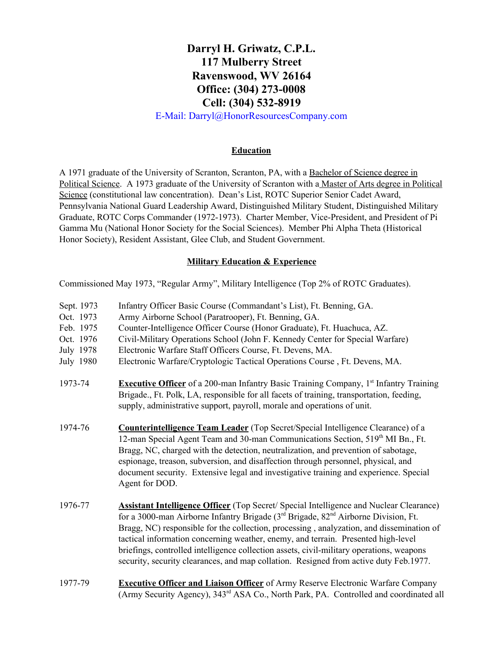# **Darryl H. Griwatz, C.P.L. 117 Mulberry Street Ravenswood, WV 26164 Office:** (304) 273-0008 **Cell:** (304) 532-8919

E-Mail: Darryl@HonorResourcesCompany.com

### **Education**

A 1971 graduate of the University of Scranton, Scranton, PA, with a Bachelor of Science degree in Political Science. A 1973 graduate of the University of Scranton with a Master of Arts degree in Political Science (constitutional law concentration). Dean's List, ROTC Superior Senior Cadet Award, Pennsylvania National Guard Leadership Award, Distinguished Military Student, Distinguished Military Graduate, ROTC Corps Commander (1972-1973). Charter Member, Vice-President, and President of Pi Gamma Mu (National Honor Society for the Social Sciences). Member Phi Alpha Theta (Historical Honor Society), Resident Assistant, Glee Club, and Student Government.

## **Military Education & Experience**

Commissioned May 1973, "Regular Army", Military Intelligence (Top 2% of ROTC Graduates).

| Sept. 1973 | Infantry Officer Basic Course (Commandant's List), Ft. Benning, GA.                                                                                                                                                                                                                                                                                                                                                                                                                                                                                                                 |
|------------|-------------------------------------------------------------------------------------------------------------------------------------------------------------------------------------------------------------------------------------------------------------------------------------------------------------------------------------------------------------------------------------------------------------------------------------------------------------------------------------------------------------------------------------------------------------------------------------|
| Oct. 1973  | Army Airborne School (Paratrooper), Ft. Benning, GA.                                                                                                                                                                                                                                                                                                                                                                                                                                                                                                                                |
| Feb. 1975  | Counter-Intelligence Officer Course (Honor Graduate), Ft. Huachuca, AZ.                                                                                                                                                                                                                                                                                                                                                                                                                                                                                                             |
| Oct. 1976  | Civil-Military Operations School (John F. Kennedy Center for Special Warfare)                                                                                                                                                                                                                                                                                                                                                                                                                                                                                                       |
| July 1978  | Electronic Warfare Staff Officers Course, Ft. Devens, MA.                                                                                                                                                                                                                                                                                                                                                                                                                                                                                                                           |
| July 1980  | Electronic Warfare/Cryptologic Tactical Operations Course, Ft. Devens, MA.                                                                                                                                                                                                                                                                                                                                                                                                                                                                                                          |
| 1973-74    | <b>Executive Officer</b> of a 200-man Infantry Basic Training Company, 1 <sup>st</sup> Infantry Training<br>Brigade., Ft. Polk, LA, responsible for all facets of training, transportation, feeding,<br>supply, administrative support, payroll, morale and operations of unit.                                                                                                                                                                                                                                                                                                     |
| 1974-76    | <b>Counterintelligence Team Leader</b> (Top Secret/Special Intelligence Clearance) of a<br>12-man Special Agent Team and 30-man Communications Section, 519 <sup>th</sup> MI Bn., Ft.<br>Bragg, NC, charged with the detection, neutralization, and prevention of sabotage,<br>espionage, treason, subversion, and disaffection through personnel, physical, and<br>document security. Extensive legal and investigative training and experience. Special<br>Agent for DOD.                                                                                                         |
| 1976-77    | <b>Assistant Intelligence Officer</b> (Top Secret/ Special Intelligence and Nuclear Clearance)<br>for a 3000-man Airborne Infantry Brigade (3 <sup>rd</sup> Brigade, 82 <sup>nd</sup> Airborne Division, Ft.<br>Bragg, NC) responsible for the collection, processing, analyzation, and dissemination of<br>tactical information concerning weather, enemy, and terrain. Presented high-level<br>briefings, controlled intelligence collection assets, civil-military operations, weapons<br>security, security clearances, and map collation. Resigned from active duty Feb. 1977. |
| 1077,70    | <b>Executive Officer and Ligison Officer</b> of Army Decepye Flectronic Worfore Company                                                                                                                                                                                                                                                                                                                                                                                                                                                                                             |

197779 **Executive Officer and Liaison Officer**of Army Reserve Electronic Warfare Company (Army Security Agency), 343<sup>rd</sup> ASA Co., North Park, PA. Controlled and coordinated all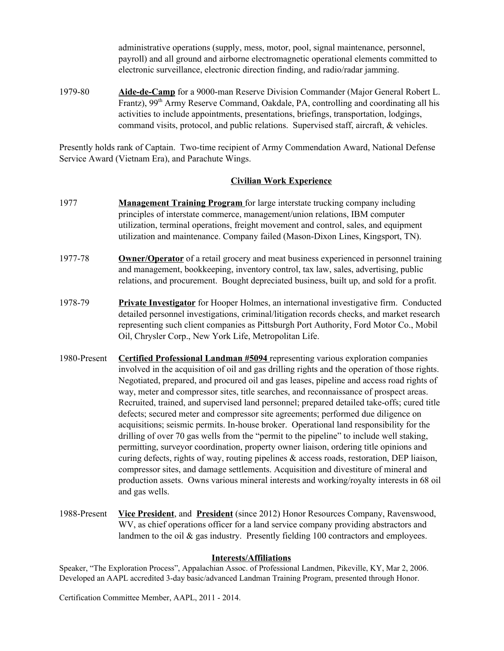administrative operations (supply, mess, motor, pool, signal maintenance, personnel, payroll) and all ground and airborne electromagnetic operational elements committed to electronic surveillance, electronic direction finding, and radio/radar jamming.

197980 **AidedeCamp**for a 9000man Reserve Division Commander (Major General Robert L. Frantz), 99<sup>th</sup> Army Reserve Command, Oakdale, PA, controlling and coordinating all his activities to include appointments, presentations, briefings, transportation, lodgings, command visits, protocol, and public relations. Supervised staff, aircraft, & vehicles.

Presently holds rank of Captain. Two-time recipient of Army Commendation Award, National Defense Service Award (Vietnam Era), and Parachute Wings.

#### **Civilian Work Experience**

- 1977 **Management Training Program** for large interstate trucking company including principles of interstate commerce, management/union relations, IBM computer utilization, terminal operations, freight movement and control, sales, and equipment utilization and maintenance. Company failed (Mason-Dixon Lines, Kingsport, TN).
- 1977-78 **Owner/Operator** of a retail grocery and meat business experienced in personnel training and management, bookkeeping, inventory control, tax law, sales, advertising, public relations, and procurement. Bought depreciated business, built up, and sold for a profit.
- 1978-79 **Private Investigator** for Hooper Holmes, an international investigative firm. Conducted detailed personnel investigations, criminal/litigation records checks, and market research representing such client companies as Pittsburgh Port Authority, Ford Motor Co., Mobil Oil, Chrysler Corp., New York Life, Metropolitan Life.
- 1980Present **Certified Professional Landman #5094** representing various exploration companies involved in the acquisition of oil and gas drilling rights and the operation of those rights. Negotiated, prepared, and procured oil and gas leases, pipeline and access road rights of way, meter and compressor sites, title searches, and reconnaissance of prospect areas. Recruited, trained, and supervised land personnel; prepared detailed take-offs; cured title defects; secured meter and compressor site agreements; performed due diligence on acquisitions; seismic permits. Inhouse broker. Operational land responsibility for the drilling of over 70 gas wells from the "permit to the pipeline" to include well staking, permitting, surveyor coordination, property owner liaison, ordering title opinions and curing defects, rights of way, routing pipelines & access roads, restoration, DEP liaison, compressor sites, and damage settlements. Acquisition and divestiture of mineral and production assets. Owns various mineral interests and working/royalty interests in 68 oil and gas wells.
- 1988Present **VicePresident**,and **President**(since 2012) Honor Resources Company, Ravenswood, WV, as chief operations officer for a land service company providing abstractors and landmen to the oil & gas industry. Presently fielding 100 contractors and employees.

#### **Interests/Affiliations**

Speaker, "The Exploration Process", Appalachian Assoc. of Professional Landmen, Pikeville, KY, Mar 2, 2006. Developed an AAPL accredited 3-day basic/advanced Landman Training Program, presented through Honor.

Certification Committee Member, AAPL, 2011 - 2014.